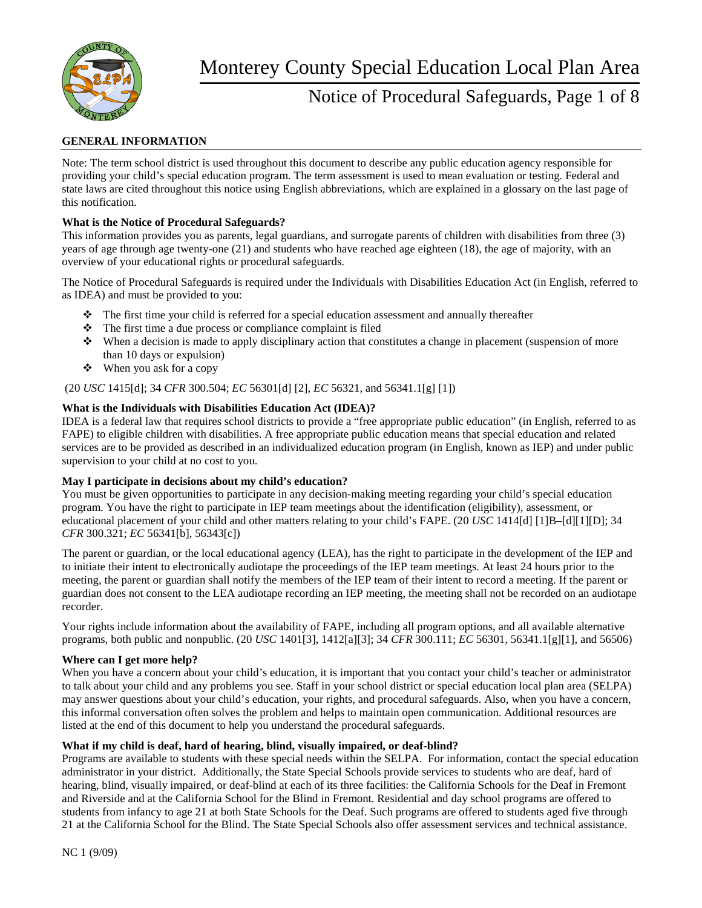

## Notice of Procedural Safeguards, Page 1 of 8

### **GENERAL INFORMATION**

Note: The term school district is used throughout this document to describe any public education agency responsible for providing your child's special education program. The term assessment is used to mean evaluation or testing. Federal and state laws are cited throughout this notice using English abbreviations, which are explained in a glossary on the last page of this notification.

#### **What is the Notice of Procedural Safeguards?**

This information provides you as parents, legal guardians, and surrogate parents of children with disabilities from three (3) years of age through age twenty-one (21) and students who have reached age eighteen (18), the age of majority, with an overview of your educational rights or procedural safeguards.

The Notice of Procedural Safeguards is required under the Individuals with Disabilities Education Act (in English, referred to as IDEA) and must be provided to you:

- The first time your child is referred for a special education assessment and annually thereafter
- $\triangle$  The first time a due process or compliance complaint is filed
- When a decision is made to apply disciplinary action that constitutes a change in placement (suspension of more than 10 days or expulsion)
- $\triangleleft$  When you ask for a copy

(20 *USC* 1415[d]; 34 *CFR* 300.504; *EC* 56301[d] [2], *EC* 56321, and 56341.1[g] [1])

#### **What is the Individuals with Disabilities Education Act (IDEA)?**

IDEA is a federal law that requires school districts to provide a "free appropriate public education" (in English, referred to as FAPE) to eligible children with disabilities. A free appropriate public education means that special education and related services are to be provided as described in an individualized education program (in English, known as IEP) and under public supervision to your child at no cost to you.

#### **May I participate in decisions about my child's education?**

You must be given opportunities to participate in any decision-making meeting regarding your child's special education program. You have the right to participate in IEP team meetings about the identification (eligibility), assessment, or educational placement of your child and other matters relating to your child's FAPE. (20 *USC* 1414[d] [1]B–[d][1][D]; 34 *CFR* 300.321; *EC* 56341[b], 56343[c])

The parent or guardian, or the local educational agency (LEA), has the right to participate in the development of the IEP and to initiate their intent to electronically audiotape the proceedings of the IEP team meetings. At least 24 hours prior to the meeting, the parent or guardian shall notify the members of the IEP team of their intent to record a meeting. If the parent or guardian does not consent to the LEA audiotape recording an IEP meeting, the meeting shall not be recorded on an audiotape recorder.

Your rights include information about the availability of FAPE, including all program options, and all available alternative programs, both public and nonpublic. (20 *USC* 1401[3], 1412[a][3]; 34 *CFR* 300.111; *EC* 56301, 56341.1[g][1], and 56506)

#### **Where can I get more help?**

When you have a concern about your child's education, it is important that you contact your child's teacher or administrator to talk about your child and any problems you see. Staff in your school district or special education local plan area (SELPA) may answer questions about your child's education, your rights, and procedural safeguards. Also, when you have a concern, this informal conversation often solves the problem and helps to maintain open communication. Additional resources are listed at the end of this document to help you understand the procedural safeguards.

#### **What if my child is deaf, hard of hearing, blind, visually impaired, or deaf-blind?**

Programs are available to students with these special needs within the SELPA. For information, contact the special education administrator in your district. Additionally, the State Special Schools provide services to students who are deaf, hard of hearing, blind, visually impaired, or deaf-blind at each of its three facilities: the California Schools for the Deaf in Fremont and Riverside and at the California School for the Blind in Fremont. Residential and day school programs are offered to students from infancy to age 21 at both State Schools for the Deaf. Such programs are offered to students aged five through 21 at the California School for the Blind. The State Special Schools also offer assessment services and technical assistance.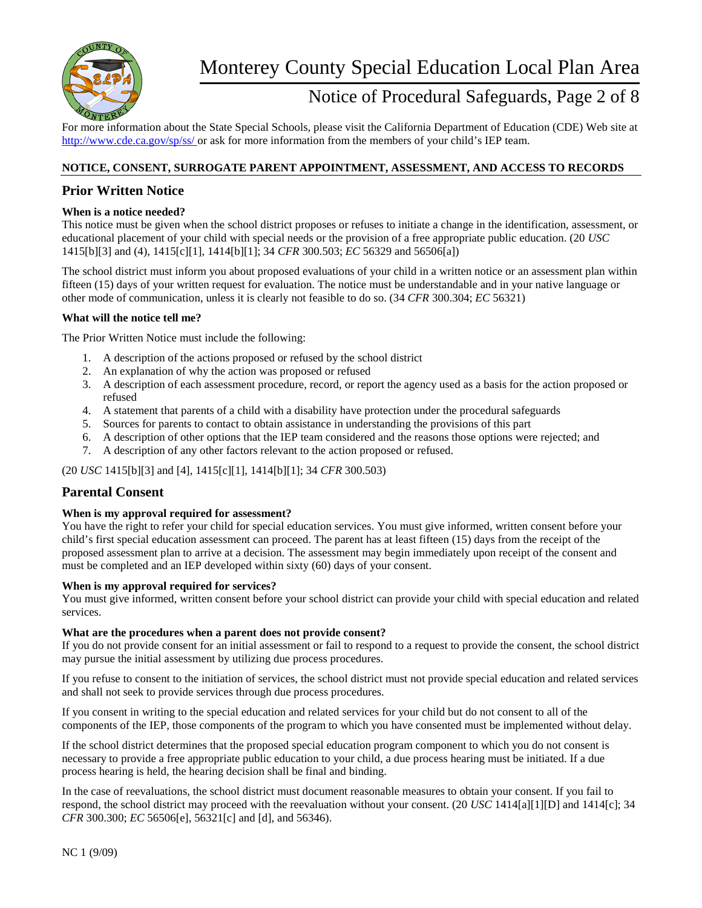

## Notice of Procedural Safeguards, Page 2 of 8

For more information about the State Special Schools, please visit the California Department of Education (CDE) Web site at http://www.cde.ca.gov/sp/ss/ or ask for more information from the members of your child's IEP team.

#### **NOTICE, CONSENT, SURROGATE PARENT APPOINTMENT, ASSESSMENT, AND ACCESS TO RECORDS**

## **Prior Written Notice**

#### **When is a notice needed?**

This notice must be given when the school district proposes or refuses to initiate a change in the identification, assessment, or educational placement of your child with special needs or the provision of a free appropriate public education. (20 *USC*  1415[b][3] and (4), 1415[c][1], 1414[b][1]; 34 *CFR* 300.503; *EC* 56329 and 56506[a])

The school district must inform you about proposed evaluations of your child in a written notice or an assessment plan within fifteen (15) days of your written request for evaluation. The notice must be understandable and in your native language or other mode of communication, unless it is clearly not feasible to do so. (34 *CFR* 300.304; *EC* 56321)

#### **What will the notice tell me?**

The Prior Written Notice must include the following:

- 1. A description of the actions proposed or refused by the school district
- 2. An explanation of why the action was proposed or refused
- 3. A description of each assessment procedure, record, or report the agency used as a basis for the action proposed or refused
- 4. A statement that parents of a child with a disability have protection under the procedural safeguards
- 5. Sources for parents to contact to obtain assistance in understanding the provisions of this part
- 6. A description of other options that the IEP team considered and the reasons those options were rejected; and
- 7. A description of any other factors relevant to the action proposed or refused.

(20 *USC* 1415[b][3] and [4], 1415[c][1], 1414[b][1]; 34 *CFR* 300.503)

#### **Parental Consent**

#### **When is my approval required for assessment?**

You have the right to refer your child for special education services. You must give informed, written consent before your child's first special education assessment can proceed. The parent has at least fifteen (15) days from the receipt of the proposed assessment plan to arrive at a decision. The assessment may begin immediately upon receipt of the consent and must be completed and an IEP developed within sixty (60) days of your consent.

#### **When is my approval required for services?**

You must give informed, written consent before your school district can provide your child with special education and related services.

#### **What are the procedures when a parent does not provide consent?**

If you do not provide consent for an initial assessment or fail to respond to a request to provide the consent, the school district may pursue the initial assessment by utilizing due process procedures.

If you refuse to consent to the initiation of services, the school district must not provide special education and related services and shall not seek to provide services through due process procedures.

If you consent in writing to the special education and related services for your child but do not consent to all of the components of the IEP, those components of the program to which you have consented must be implemented without delay.

If the school district determines that the proposed special education program component to which you do not consent is necessary to provide a free appropriate public education to your child, a due process hearing must be initiated. If a due process hearing is held, the hearing decision shall be final and binding.

In the case of reevaluations, the school district must document reasonable measures to obtain your consent. If you fail to respond, the school district may proceed with the reevaluation without your consent. (20 *USC* 1414[a][1][D] and 1414[c]; 34 *CFR* 300.300; *EC* 56506[e], 56321[c] and [d], and 56346).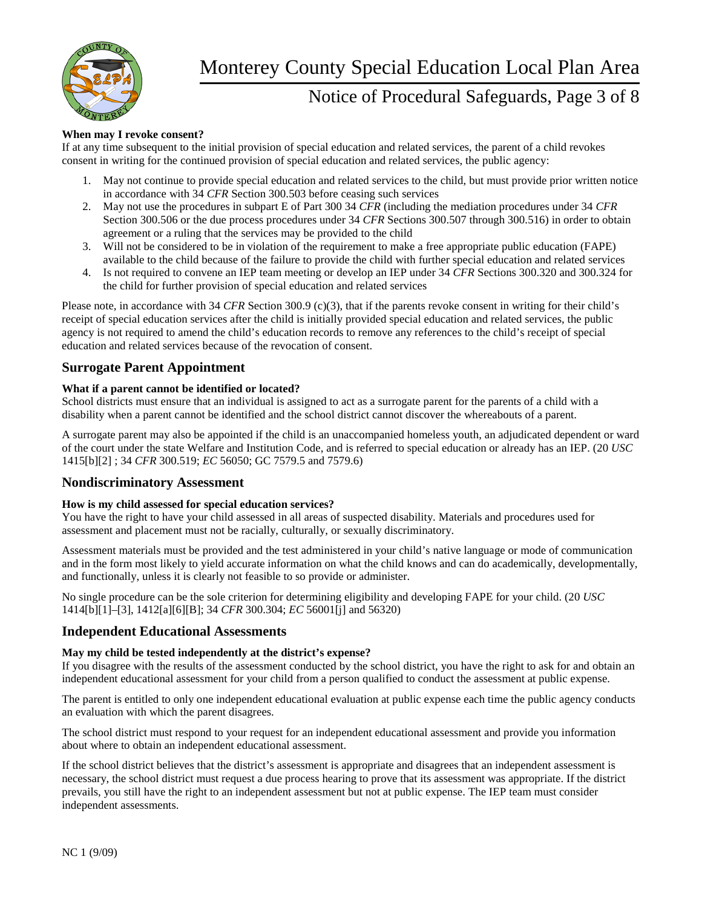

## Notice of Procedural Safeguards, Page 3 of 8

#### **When may I revoke consent?**

If at any time subsequent to the initial provision of special education and related services, the parent of a child revokes consent in writing for the continued provision of special education and related services, the public agency:

- 1. May not continue to provide special education and related services to the child, but must provide prior written notice in accordance with 34 *CFR* Section 300.503 before ceasing such services
- 2. May not use the procedures in subpart E of Part 300 34 *CFR* (including the mediation procedures under 34 *CFR*  Section 300.506 or the due process procedures under 34 *CFR* Sections 300.507 through 300.516) in order to obtain agreement or a ruling that the services may be provided to the child
- 3. Will not be considered to be in violation of the requirement to make a free appropriate public education (FAPE) available to the child because of the failure to provide the child with further special education and related services
- 4. Is not required to convene an IEP team meeting or develop an IEP under 34 *CFR* Sections 300.320 and 300.324 for the child for further provision of special education and related services

Please note, in accordance with 34 *CFR* Section 300.9 (c)(3), that if the parents revoke consent in writing for their child's receipt of special education services after the child is initially provided special education and related services, the public agency is not required to amend the child's education records to remove any references to the child's receipt of special education and related services because of the revocation of consent.

## **Surrogate Parent Appointment**

#### **What if a parent cannot be identified or located?**

School districts must ensure that an individual is assigned to act as a surrogate parent for the parents of a child with a disability when a parent cannot be identified and the school district cannot discover the whereabouts of a parent.

A surrogate parent may also be appointed if the child is an unaccompanied homeless youth, an adjudicated dependent or ward of the court under the state Welfare and Institution Code, and is referred to special education or already has an IEP. (20 *USC*  1415[b][2] ; 34 *CFR* 300.519; *EC* 56050; GC 7579.5 and 7579.6)

### **Nondiscriminatory Assessment**

#### **How is my child assessed for special education services?**

You have the right to have your child assessed in all areas of suspected disability. Materials and procedures used for assessment and placement must not be racially, culturally, or sexually discriminatory.

Assessment materials must be provided and the test administered in your child's native language or mode of communication and in the form most likely to yield accurate information on what the child knows and can do academically, developmentally, and functionally, unless it is clearly not feasible to so provide or administer.

No single procedure can be the sole criterion for determining eligibility and developing FAPE for your child. (20 *USC*  1414[b][1]–[3], 1412[a][6][B]; 34 *CFR* 300.304; *EC* 56001[j] and 56320)

### **Independent Educational Assessments**

#### **May my child be tested independently at the district's expense?**

If you disagree with the results of the assessment conducted by the school district, you have the right to ask for and obtain an independent educational assessment for your child from a person qualified to conduct the assessment at public expense.

The parent is entitled to only one independent educational evaluation at public expense each time the public agency conducts an evaluation with which the parent disagrees.

The school district must respond to your request for an independent educational assessment and provide you information about where to obtain an independent educational assessment.

If the school district believes that the district's assessment is appropriate and disagrees that an independent assessment is necessary, the school district must request a due process hearing to prove that its assessment was appropriate. If the district prevails, you still have the right to an independent assessment but not at public expense. The IEP team must consider independent assessments.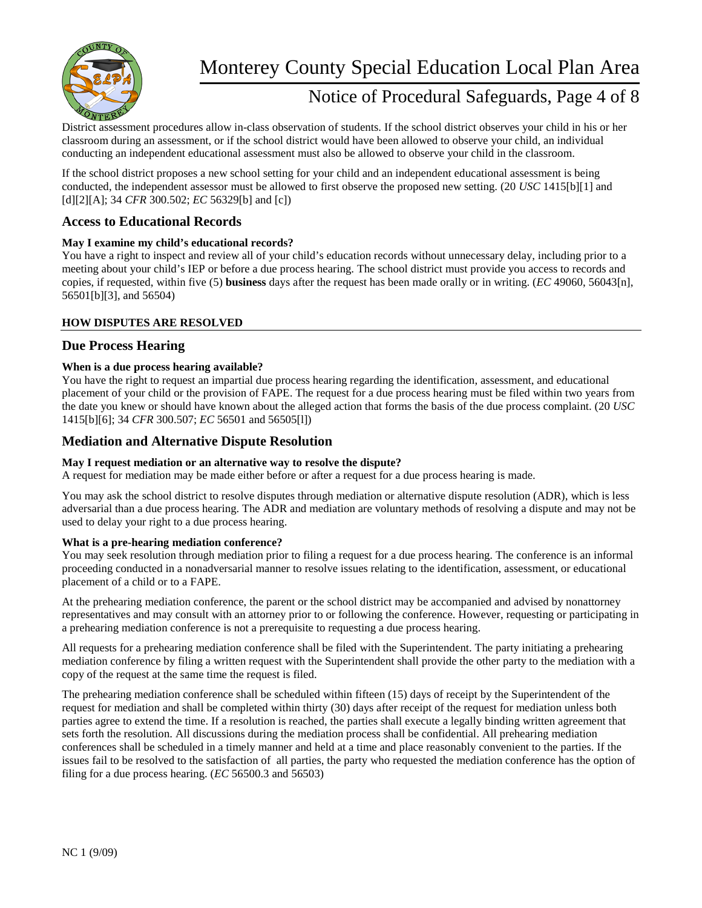

## Notice of Procedural Safeguards, Page 4 of 8

District assessment procedures allow in-class observation of students. If the school district observes your child in his or her classroom during an assessment, or if the school district would have been allowed to observe your child, an individual conducting an independent educational assessment must also be allowed to observe your child in the classroom.

If the school district proposes a new school setting for your child and an independent educational assessment is being conducted, the independent assessor must be allowed to first observe the proposed new setting. (20 *USC* 1415[b][1] and [d][2][A]; 34 *CFR* 300.502; *EC* 56329[b] and [c])

## **Access to Educational Records**

#### **May I examine my child's educational records?**

You have a right to inspect and review all of your child's education records without unnecessary delay, including prior to a meeting about your child's IEP or before a due process hearing. The school district must provide you access to records and copies, if requested, within five (5) **business** days after the request has been made orally or in writing. (*EC* 49060, 56043[n], 56501[b][3], and 56504)

#### **HOW DISPUTES ARE RESOLVED**

### **Due Process Hearing**

#### **When is a due process hearing available?**

You have the right to request an impartial due process hearing regarding the identification, assessment, and educational placement of your child or the provision of FAPE. The request for a due process hearing must be filed within two years from the date you knew or should have known about the alleged action that forms the basis of the due process complaint. (20 *USC*  1415[b][6]; 34 *CFR* 300.507; *EC* 56501 and 56505[l])

## **Mediation and Alternative Dispute Resolution**

#### **May I request mediation or an alternative way to resolve the dispute?**

A request for mediation may be made either before or after a request for a due process hearing is made.

You may ask the school district to resolve disputes through mediation or alternative dispute resolution (ADR), which is less adversarial than a due process hearing. The ADR and mediation are voluntary methods of resolving a dispute and may not be used to delay your right to a due process hearing.

#### **What is a pre-hearing mediation conference?**

You may seek resolution through mediation prior to filing a request for a due process hearing. The conference is an informal proceeding conducted in a nonadversarial manner to resolve issues relating to the identification, assessment, or educational placement of a child or to a FAPE.

At the prehearing mediation conference, the parent or the school district may be accompanied and advised by nonattorney representatives and may consult with an attorney prior to or following the conference. However, requesting or participating in a prehearing mediation conference is not a prerequisite to requesting a due process hearing.

All requests for a prehearing mediation conference shall be filed with the Superintendent. The party initiating a prehearing mediation conference by filing a written request with the Superintendent shall provide the other party to the mediation with a copy of the request at the same time the request is filed.

The prehearing mediation conference shall be scheduled within fifteen (15) days of receipt by the Superintendent of the request for mediation and shall be completed within thirty (30) days after receipt of the request for mediation unless both parties agree to extend the time. If a resolution is reached, the parties shall execute a legally binding written agreement that sets forth the resolution. All discussions during the mediation process shall be confidential. All prehearing mediation conferences shall be scheduled in a timely manner and held at a time and place reasonably convenient to the parties. If the issues fail to be resolved to the satisfaction of all parties, the party who requested the mediation conference has the option of filing for a due process hearing. (*EC* 56500.3 and 56503)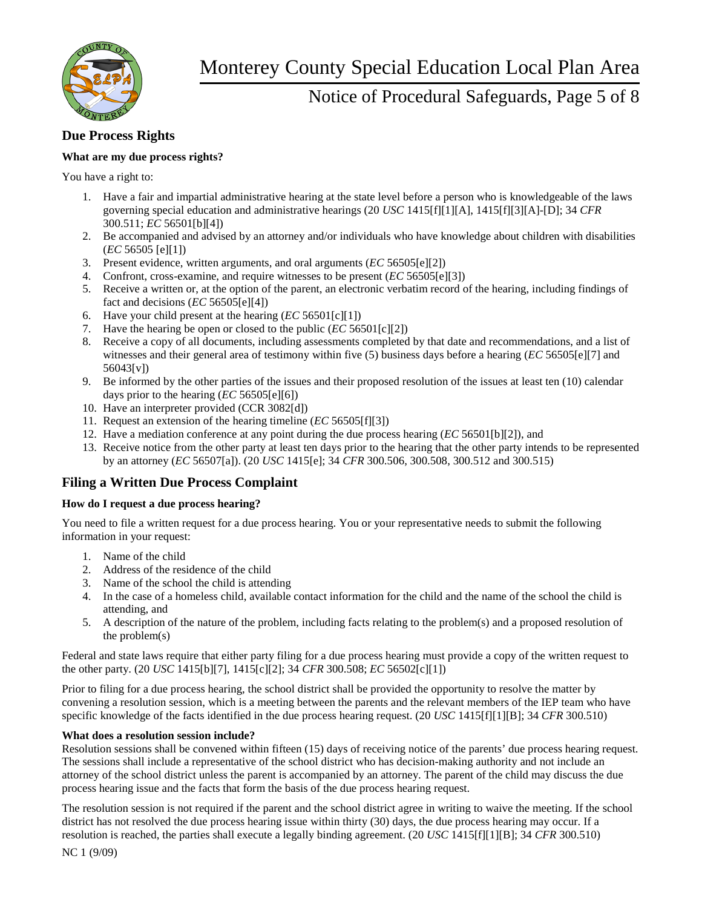

## Notice of Procedural Safeguards, Page 5 of 8

## **Due Process Rights**

### **What are my due process rights?**

You have a right to:

- 1. Have a fair and impartial administrative hearing at the state level before a person who is knowledgeable of the laws governing special education and administrative hearings (20 *USC* 1415[f][1][A], 1415[f][3][A]-[D]; 34 *CFR*  300.511; *EC* 56501[b][4])
- 2. Be accompanied and advised by an attorney and/or individuals who have knowledge about children with disabilities (*EC* 56505 [e][1])
- 3. Present evidence, written arguments, and oral arguments (*EC* 56505[e][2])
- 4. Confront, cross-examine, and require witnesses to be present (*EC* 56505[e][3])
- 5. Receive a written or, at the option of the parent, an electronic verbatim record of the hearing, including findings of fact and decisions (*EC* 56505[e][4])
- 6. Have your child present at the hearing (*EC* 56501[c][1])
- 7. Have the hearing be open or closed to the public (*EC* 56501[c][2])
- 8. Receive a copy of all documents, including assessments completed by that date and recommendations, and a list of witnesses and their general area of testimony within five (5) business days before a hearing (*EC* 56505[e][7] and 56043[v])
- 9. Be informed by the other parties of the issues and their proposed resolution of the issues at least ten (10) calendar days prior to the hearing (*EC* 56505[e][6])
- 10. Have an interpreter provided (CCR 3082[d])
- 11. Request an extension of the hearing timeline (*EC* 56505[f][3])
- 12. Have a mediation conference at any point during the due process hearing (*EC* 56501[b][2]), and
- 13. Receive notice from the other party at least ten days prior to the hearing that the other party intends to be represented by an attorney (*EC* 56507[a]). (20 *USC* 1415[e]; 34 *CFR* 300.506, 300.508, 300.512 and 300.515)

## **Filing a Written Due Process Complaint**

#### **How do I request a due process hearing?**

You need to file a written request for a due process hearing. You or your representative needs to submit the following information in your request:

- 1. Name of the child
- 2. Address of the residence of the child
- 3. Name of the school the child is attending
- 4. In the case of a homeless child, available contact information for the child and the name of the school the child is attending, and
- 5. A description of the nature of the problem, including facts relating to the problem(s) and a proposed resolution of the problem(s)

Federal and state laws require that either party filing for a due process hearing must provide a copy of the written request to the other party. (20 *USC* 1415[b][7], 1415[c][2]; 34 *CFR* 300.508; *EC* 56502[c][1])

Prior to filing for a due process hearing, the school district shall be provided the opportunity to resolve the matter by convening a resolution session, which is a meeting between the parents and the relevant members of the IEP team who have specific knowledge of the facts identified in the due process hearing request. (20 *USC* 1415[f][1][B]; 34 *CFR* 300.510)

#### **What does a resolution session include?**

Resolution sessions shall be convened within fifteen (15) days of receiving notice of the parents' due process hearing request. The sessions shall include a representative of the school district who has decision-making authority and not include an attorney of the school district unless the parent is accompanied by an attorney. The parent of the child may discuss the due process hearing issue and the facts that form the basis of the due process hearing request.

The resolution session is not required if the parent and the school district agree in writing to waive the meeting. If the school district has not resolved the due process hearing issue within thirty (30) days, the due process hearing may occur. If a resolution is reached, the parties shall execute a legally binding agreement. (20 *USC* 1415[f][1][B]; 34 *CFR* 300.510)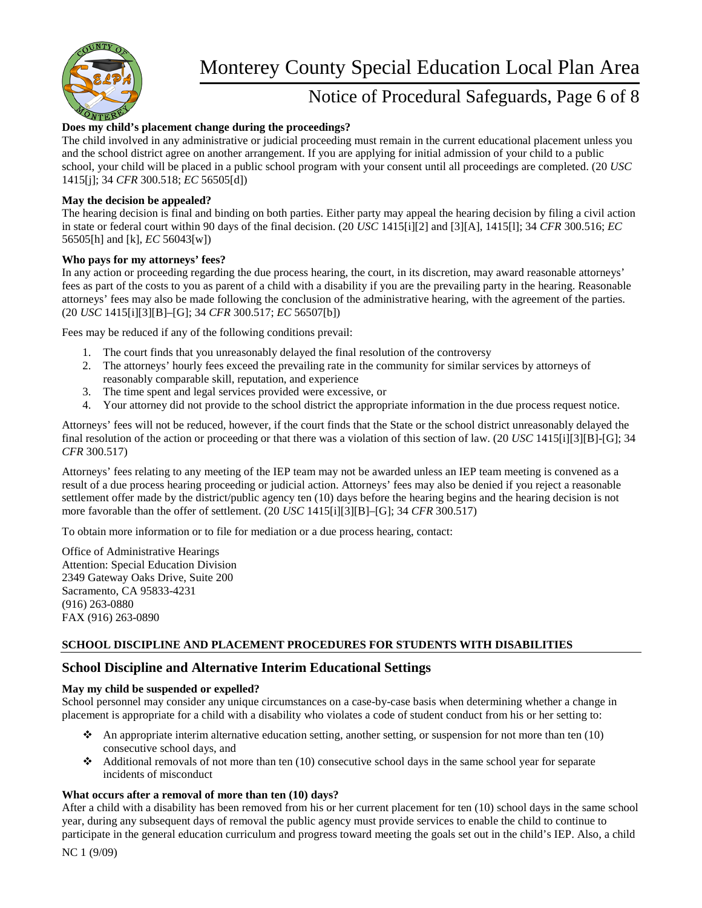

## Notice of Procedural Safeguards, Page 6 of 8

### **Does my child's placement change during the proceedings?**

The child involved in any administrative or judicial proceeding must remain in the current educational placement unless you and the school district agree on another arrangement. If you are applying for initial admission of your child to a public school, your child will be placed in a public school program with your consent until all proceedings are completed. (20 *USC*  1415[j]; 34 *CFR* 300.518; *EC* 56505[d])

#### **May the decision be appealed?**

The hearing decision is final and binding on both parties. Either party may appeal the hearing decision by filing a civil action in state or federal court within 90 days of the final decision. (20 *USC* 1415[i][2] and [3][A], 1415[l]; 34 *CFR* 300.516; *EC*  56505[h] and [k], *EC* 56043[w])

#### **Who pays for my attorneys' fees?**

In any action or proceeding regarding the due process hearing, the court, in its discretion, may award reasonable attorneys' fees as part of the costs to you as parent of a child with a disability if you are the prevailing party in the hearing. Reasonable attorneys' fees may also be made following the conclusion of the administrative hearing, with the agreement of the parties. (20 *USC* 1415[i][3][B]–[G]; 34 *CFR* 300.517; *EC* 56507[b])

Fees may be reduced if any of the following conditions prevail:

- 1. The court finds that you unreasonably delayed the final resolution of the controversy
- 2. The attorneys' hourly fees exceed the prevailing rate in the community for similar services by attorneys of reasonably comparable skill, reputation, and experience
- 3. The time spent and legal services provided were excessive, or
- 4. Your attorney did not provide to the school district the appropriate information in the due process request notice.

Attorneys' fees will not be reduced, however, if the court finds that the State or the school district unreasonably delayed the final resolution of the action or proceeding or that there was a violation of this section of law. (20 *USC* 1415[i][3][B]-[G]; 34 *CFR* 300.517)

Attorneys' fees relating to any meeting of the IEP team may not be awarded unless an IEP team meeting is convened as a result of a due process hearing proceeding or judicial action. Attorneys' fees may also be denied if you reject a reasonable settlement offer made by the district/public agency ten (10) days before the hearing begins and the hearing decision is not more favorable than the offer of settlement. (20 *USC* 1415[i][3][B]–[G]; 34 *CFR* 300.517)

To obtain more information or to file for mediation or a due process hearing, contact:

Office of Administrative Hearings Attention: Special Education Division 2349 Gateway Oaks Drive, Suite 200 Sacramento, CA 95833-4231 (916) 263-0880 FAX (916) 263-0890

#### **SCHOOL DISCIPLINE AND PLACEMENT PROCEDURES FOR STUDENTS WITH DISABILITIES**

## **School Discipline and Alternative Interim Educational Settings**

#### **May my child be suspended or expelled?**

School personnel may consider any unique circumstances on a case-by-case basis when determining whether a change in placement is appropriate for a child with a disability who violates a code of student conduct from his or her setting to:

- An appropriate interim alternative education setting, another setting, or suspension for not more than ten  $(10)$ consecutive school days, and
- Additional removals of not more than ten  $(10)$  consecutive school days in the same school year for separate incidents of misconduct

#### **What occurs after a removal of more than ten (10) days?**

After a child with a disability has been removed from his or her current placement for ten (10) school days in the same school year, during any subsequent days of removal the public agency must provide services to enable the child to continue to participate in the general education curriculum and progress toward meeting the goals set out in the child's IEP. Also, a child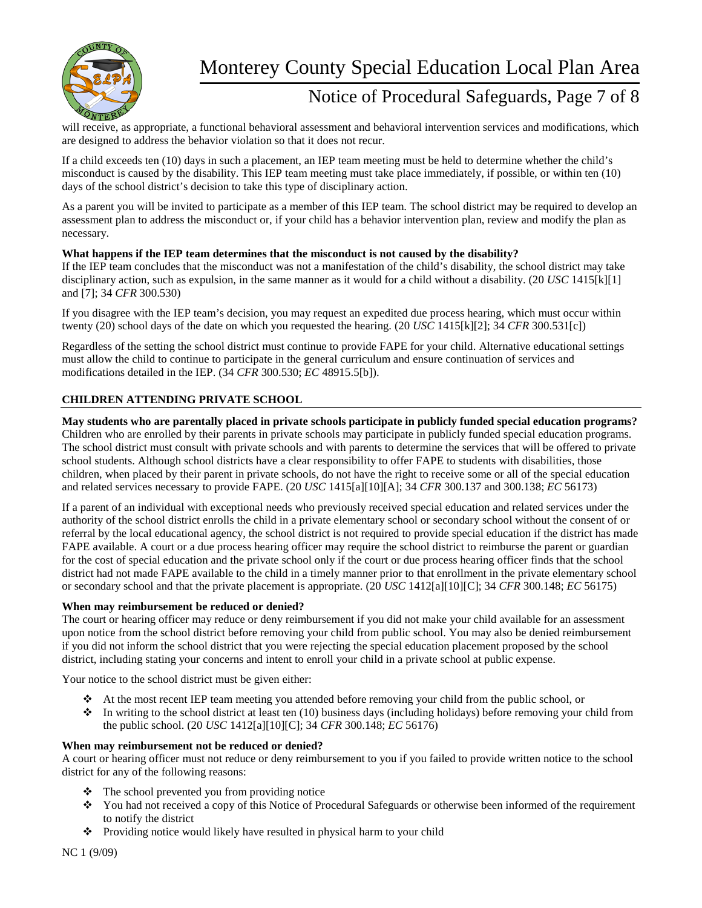

## Notice of Procedural Safeguards, Page 7 of 8

will receive, as appropriate, a functional behavioral assessment and behavioral intervention services and modifications, which are designed to address the behavior violation so that it does not recur.

If a child exceeds ten (10) days in such a placement, an IEP team meeting must be held to determine whether the child's misconduct is caused by the disability. This IEP team meeting must take place immediately, if possible, or within ten (10) days of the school district's decision to take this type of disciplinary action.

As a parent you will be invited to participate as a member of this IEP team. The school district may be required to develop an assessment plan to address the misconduct or, if your child has a behavior intervention plan, review and modify the plan as necessary.

#### **What happens if the IEP team determines that the misconduct is not caused by the disability?**

If the IEP team concludes that the misconduct was not a manifestation of the child's disability, the school district may take disciplinary action, such as expulsion, in the same manner as it would for a child without a disability. (20 *USC* 1415[k][1] and [7]; 34 *CFR* 300.530)

If you disagree with the IEP team's decision, you may request an expedited due process hearing, which must occur within twenty (20) school days of the date on which you requested the hearing. (20 *USC* 1415[k][2]; 34 *CFR* 300.531[c])

Regardless of the setting the school district must continue to provide FAPE for your child. Alternative educational settings must allow the child to continue to participate in the general curriculum and ensure continuation of services and modifications detailed in the IEP. (34 *CFR* 300.530; *EC* 48915.5[b]).

### **CHILDREN ATTENDING PRIVATE SCHOOL**

#### **May students who are parentally placed in private schools participate in publicly funded special education programs?**

Children who are enrolled by their parents in private schools may participate in publicly funded special education programs. The school district must consult with private schools and with parents to determine the services that will be offered to private school students. Although school districts have a clear responsibility to offer FAPE to students with disabilities, those children, when placed by their parent in private schools, do not have the right to receive some or all of the special education and related services necessary to provide FAPE. (20 *USC* 1415[a][10][A]; 34 *CFR* 300.137 and 300.138; *EC* 56173)

If a parent of an individual with exceptional needs who previously received special education and related services under the authority of the school district enrolls the child in a private elementary school or secondary school without the consent of or referral by the local educational agency, the school district is not required to provide special education if the district has made FAPE available. A court or a due process hearing officer may require the school district to reimburse the parent or guardian for the cost of special education and the private school only if the court or due process hearing officer finds that the school district had not made FAPE available to the child in a timely manner prior to that enrollment in the private elementary school or secondary school and that the private placement is appropriate. (20 *USC* 1412[a][10][C]; 34 *CFR* 300.148; *EC* 56175)

#### **When may reimbursement be reduced or denied?**

The court or hearing officer may reduce or deny reimbursement if you did not make your child available for an assessment upon notice from the school district before removing your child from public school. You may also be denied reimbursement if you did not inform the school district that you were rejecting the special education placement proposed by the school district, including stating your concerns and intent to enroll your child in a private school at public expense.

Your notice to the school district must be given either:

- At the most recent IEP team meeting you attended before removing your child from the public school, or
- $\bullet$  In writing to the school district at least ten (10) business days (including holidays) before removing your child from the public school. (20 *USC* 1412[a][10][C]; 34 *CFR* 300.148; *EC* 56176)

#### **When may reimbursement not be reduced or denied?**

A court or hearing officer must not reduce or deny reimbursement to you if you failed to provide written notice to the school district for any of the following reasons:

- $\triangleleft$  The school prevented you from providing notice
- You had not received a copy of this Notice of Procedural Safeguards or otherwise been informed of the requirement to notify the district
- \* Providing notice would likely have resulted in physical harm to your child